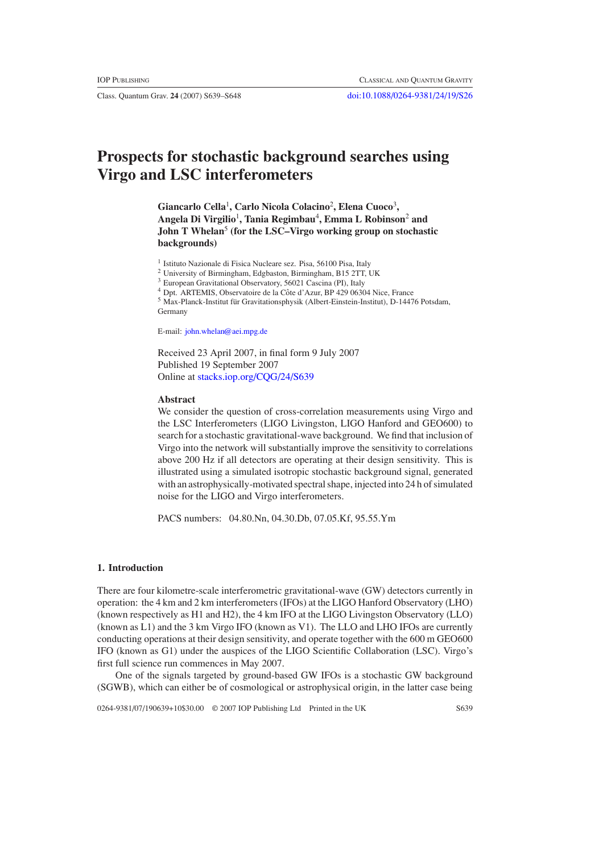# **Prospects for stochastic background searches using Virgo and LSC interferometers**

**Giancarlo Cella**<sup>1</sup> **, Carlo Nicola Colacino**<sup>2</sup> **, Elena Cuoco**<sup>3</sup> **, Angela Di Virgilio**<sup>1</sup> **, Tania Regimbau**<sup>4</sup> **, Emma L Robinson**<sup>2</sup> **and John T Whelan**<sup>5</sup> **(for the LSC–Virgo working group on stochastic backgrounds)**

<sup>1</sup> Istituto Nazionale di Fisica Nucleare sez. Pisa, 56100 Pisa, Italy

<sup>2</sup> University of Birmingham, Edgbaston, Birmingham, B15 2TT, UK

<sup>3</sup> European Gravitational Observatory, 56021 Cascina (PI), Italy

<sup>4</sup> Dpt. ARTEMIS, Observatoire de la Côte d'Azur, BP 429 06304 Nice, France

<sup>5</sup> Max-Planck-Institut für Gravitationsphysik (Albert-Einstein-Institut), D-14476 Potsdam, Germany

E-mail: [john.whelan@aei.mpg.de](mailto:john.whelan@aei.mpg.de)

Received 23 April 2007, in final form 9 July 2007 Published 19 September 2007 Online at [stacks.iop.org/CQG/24/S639](http://stacks.iop.org/CQG/24/S639)

## **Abstract**

We consider the question of cross-correlation measurements using Virgo and the LSC Interferometers (LIGO Livingston, LIGO Hanford and GEO600) to search for a stochastic gravitational-wave background. We find that inclusion of Virgo into the network will substantially improve the sensitivity to correlations above 200 Hz if all detectors are operating at their design sensitivity. This is illustrated using a simulated isotropic stochastic background signal, generated with an astrophysically-motivated spectral shape, injected into 24 h of simulated noise for the LIGO and Virgo interferometers.

PACS numbers: 04.80.Nn, 04.30.Db, 07.05.Kf, 95.55.Ym

#### **1. Introduction**

There are four kilometre-scale interferometric gravitational-wave (GW) detectors currently in operation: the 4 km and 2 km interferometers (IFOs) at the LIGO Hanford Observatory (LHO) (known respectively as H1 and H2), the 4 km IFO at the LIGO Livingston Observatory (LLO) (known as L1) and the 3 km Virgo IFO (known as V1). The LLO and LHO IFOs are currently conducting operations at their design sensitivity, and operate together with the 600 m GEO600 IFO (known as G1) under the auspices of the LIGO Scientific Collaboration (LSC). Virgo's first full science run commences in May 2007.

One of the signals targeted by ground-based GW IFOs is a stochastic GW background (SGWB), which can either be of cosmological or astrophysical origin, in the latter case being

0264-9381/07/190639+10\$30.00 © 2007 IOP Publishing Ltd Printed in the UK S639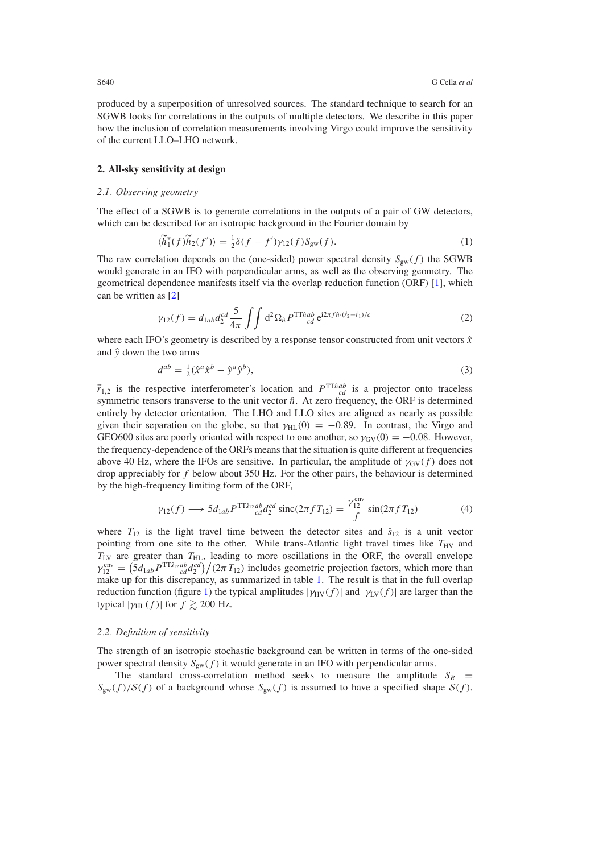<span id="page-1-0"></span>produced by a superposition of unresolved sources. The standard technique to search for an SGWB looks for correlations in the outputs of multiple detectors. We describe in this paper how the inclusion of correlation measurements involving Virgo could improve the sensitivity of the current LLO–LHO network.

### **2. All-sky sensitivity at design**

## *2.1. Observing geometry*

The effect of a SGWB is to generate correlations in the outputs of a pair of GW detectors, which can be described for an isotropic background in the Fourier domain by

$$
\langle \widetilde{h}_1^*(f)\widetilde{h}_2(f')\rangle = \frac{1}{2}\delta(f - f')\gamma_{12}(f)S_{\text{gw}}(f). \tag{1}
$$

The raw correlation depends on the (one-sided) power spectral density  $S_{gw}(f)$  the SGWB would generate in an IFO with perpendicular arms, as well as the observing geometry. The geometrical dependence manifests itself via the overlap reduction function (ORF) [\[1\]](#page-9-0), which can be written as [\[2\]](#page-9-0)

$$
\gamma_{12}(f) = d_{1ab}d_2^{cd} \frac{5}{4\pi} \int \int d^2\Omega_{\hat{n}} P^{\text{TT}\hat{n}ab} e^{i2\pi f \hat{n}\cdot(\vec{r}_2 - \vec{r}_1)/c}
$$
(2)

where each IFO's geometry is described by a response tensor constructed from unit vectors  $\hat{x}$ and  $\hat{v}$  down the two arms

$$
d^{ab} = \frac{1}{2}(\hat{x}^a \hat{x}^b - \hat{y}^a \hat{y}^b),\tag{3}
$$

 $\vec{r}_{1,2}$  is the respective interferometer's location and  $P^{TT\hat{n}ab}$  is a projector onto traceless symmetric tensors transverse to the unit vector  $\hat{n}$ . At zero frequency, the ORF is determined entirely by detector orientation. The LHO and LLO sites are aligned as nearly as possible given their separation on the globe, so that  $\gamma_{HL}(0) = -0.89$ . In contrast, the Virgo and GEO600 sites are poorly oriented with respect to one another, so  $\gamma_{\rm GV}(0) = -0.08$ . However, the frequency-dependence of the ORFs means that the situation is quite different at frequencies above 40 Hz, where the IFOs are sensitive. In particular, the amplitude of  $\gamma_{\text{GV}}(f)$  does not drop appreciably for *f* below about 350 Hz. For the other pairs, the behaviour is determined by the high-frequency limiting form of the ORF,

$$
\gamma_{12}(f) \longrightarrow 5d_{1ab} P^{TT\hat{s}_{12}ab} d_2^{cd} \operatorname{sinc}(2\pi f T_{12}) = \frac{\gamma_{12}^{\text{env}}}{f} \sin(2\pi f T_{12}) \tag{4}
$$

where  $T_{12}$  is the light travel time between the detector sites and  $\hat{s}_{12}$  is a unit vector pointing from one site to the other. While trans-Atlantic light travel times like  $T_{\text{HV}}$  and  $T_{\text{LV}}$  are greater than  $T_{\text{HL}}$ , leading to more oscillations in the ORF, the overall envelope  $\gamma_{12}^{\text{env}} = (5d_{1ab}P^{\text{TT}\hat{s}_{12}ab}d_2^{cd})/(2\pi T_{12})$  includes geometric projection factors, which more than make up for this discrepancy, as summarized in table [1.](#page-2-0) The result is that in the full overlap reduction function (figure [1\)](#page-2-0) the typical amplitudes  $|\gamma_{HV}(f)|$  and  $|\gamma_{LV}(f)|$  are larger than the typical  $|\gamma_{HL}(f)|$  for  $f \ge 200$  Hz.

## *2.2. Definition of sensitivity*

The strength of an isotropic stochastic background can be written in terms of the one-sided power spectral density  $S_{gw}(f)$  it would generate in an IFO with perpendicular arms.

The standard cross-correlation method seeks to measure the amplitude  $S_R$  =  $S_{gw}(f)/S(f)$  of a background whose  $S_{gw}(f)$  is assumed to have a specified shape  $S(f)$ .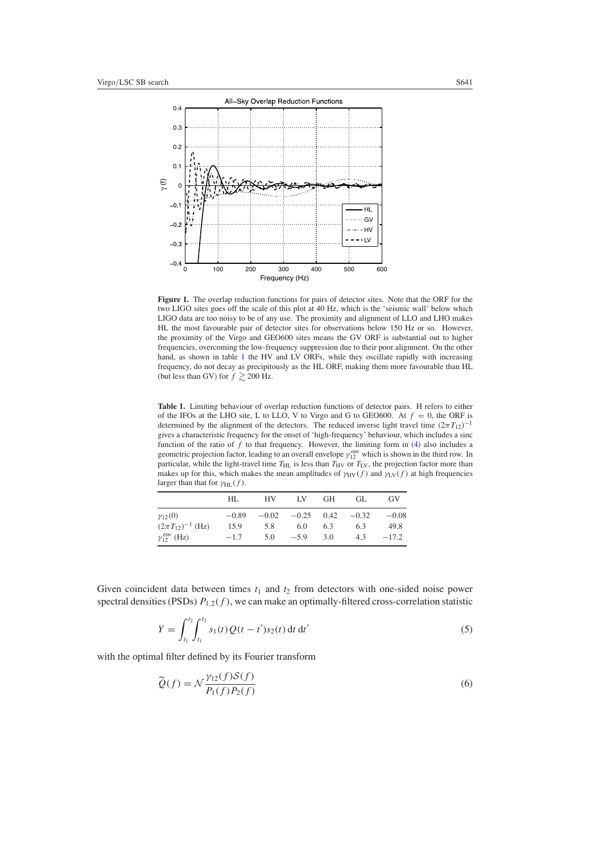<span id="page-2-0"></span>

**Figure 1.** The overlap reduction functions for pairs of detector sites. Note that the ORF for the two LIGO sites goes off the scale of this plot at 40 Hz, which is the 'seismic wall' below which LIGO data are too noisy to be of any use. The proximity and alignment of LLO and LHO makes HL the most favourable pair of detector sites for observations below 150 Hz or so. However, the proximity of the Virgo and GEO600 sites means the GV ORF is substantial out to higher frequencies, overcoming the low-frequency suppression due to their poor alignment. On the other hand, as shown in table 1 the HV and LV ORFs, while they oscillate rapidly with increasing frequency, do not decay as precipitously as the HL ORF, making them more favourable than HL (but less than GV) for  $f \ge 200$  Hz.

**Table 1.** Limiting behaviour of overlap reduction functions of detector pairs. H refers to either of the IFOs at the LHO site, L to LLO, V to Virgo and G to GEO600. At  $f = 0$ , the ORF is determined by the alignment of the detectors. The reduced inverse light travel time  $(2\pi T_{12})^{-1}$ gives a characteristic frequency for the onset of 'high-frequency' behaviour, which includes a sinc function of the ratio of f to that frequency. However, the limiting form in [\(4\)](#page-1-0) also includes a geometric projection factor, leading to an overall envelope  $\gamma_{12}^{\text{env}}$  which is shown in the third row. In particular, while the light-travel time  $T_{HL}$  is less than  $T_{HV}$  or  $T_{LV}$ , the projection factor more than makes up for this, which makes the mean amplitudes of  $\gamma_{HV}(f)$  and  $\gamma_{LV}(f)$  at high frequencies larger than that for  $\gamma_{\text{HL}}(f)$ .

|                                 | HL.     | HV. | LV 1                         | GH  | GL. | GV      |
|---------------------------------|---------|-----|------------------------------|-----|-----|---------|
| $y_{12}(0)$                     | $-0.89$ |     | $-0.02$ $-0.25$ 0.42 $-0.32$ |     |     | $-0.08$ |
| $(2\pi T_{12})^{-1}$ (Hz)       | 15.9    | 5.8 | 6.0                          | 6.3 | 6.3 | 49.8    |
| $\gamma_{12}^{\text{env}}$ (Hz) | $-1.7$  | 5.0 | $-5.9$                       | 3.0 | 4.3 | $-17.2$ |

Given coincident data between times  $t_1$  and  $t_2$  from detectors with one-sided noise power spectral densities (PSDs)  $P_{1,2}(f)$ , we can make an optimally-filtered cross-correlation statistic

$$
Y = \int_{t_1}^{t_2} \int_{t_1}^{t_2} s_1(t) Q(t - t') s_2(t) dt dt'
$$
\n(5)

with the optimal filter defined by its Fourier transform

$$
\widetilde{Q}(f) = \mathcal{N} \frac{\gamma_{12}(f)S(f)}{P_1(f)P_2(f)}
$$
\n<sup>(6)</sup>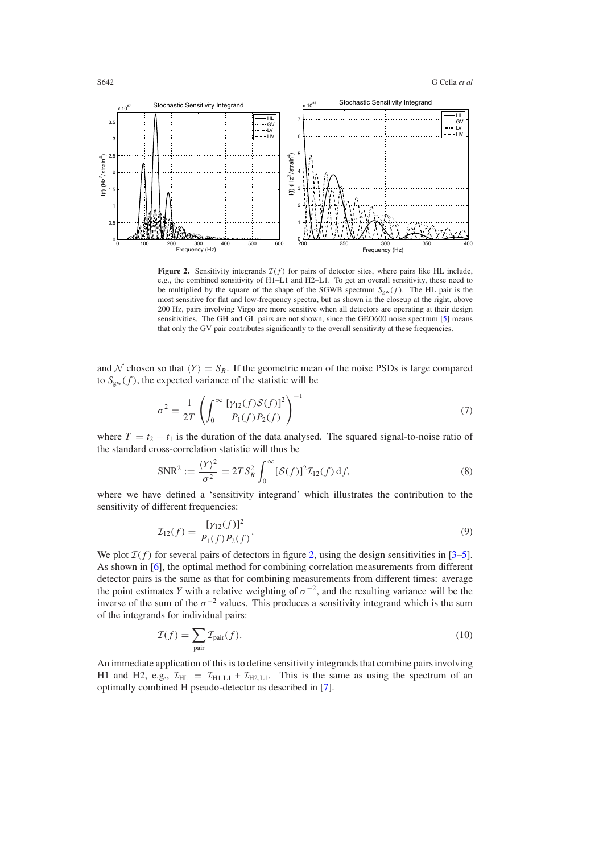

**Figure 2.** Sensitivity integrands  $I(f)$  for pairs of detector sites, where pairs like HL include, e.g., the combined sensitivity of H1–L1 and H2–L1. To get an overall sensitivity, these need to be multiplied by the square of the shape of the SGWB spectrum  $S_{gw}(f)$ . The HL pair is the most sensitive for flat and low-frequency spectra, but as shown in the closeup at the right, above 200 Hz, pairs involving Virgo are more sensitive when all detectors are operating at their design sensitivities. The GH and GL pairs are not shown, since the GEO600 noise spectrum [\[5](#page-9-0)] means that only the GV pair contributes significantly to the overall sensitivity at these frequencies.

and N chosen so that  $\langle Y \rangle = S_R$ . If the geometric mean of the noise PSDs is large compared to  $S_{gw}(f)$ , the expected variance of the statistic will be

$$
\sigma^2 = \frac{1}{2T} \left( \int_0^\infty \frac{\left[ \gamma_{12}(f) S(f) \right]^2}{P_1(f) P_2(f)} \right)^{-1} \tag{7}
$$

where  $T = t_2 - t_1$  is the duration of the data analysed. The squared signal-to-noise ratio of the standard cross-correlation statistic will thus be

$$
SNR^{2} := \frac{\langle Y \rangle^{2}}{\sigma^{2}} = 2TS_{R}^{2} \int_{0}^{\infty} [\mathcal{S}(f)]^{2} \mathcal{I}_{12}(f) df,
$$
\n(8)

where we have defined a 'sensitivity integrand' which illustrates the contribution to the sensitivity of different frequencies:

$$
\mathcal{I}_{12}(f) = \frac{[\gamma_{12}(f)]^2}{P_1(f)P_2(f)}.
$$
\n(9)

We plot  $\mathcal{I}(f)$  for several pairs of detectors in figure 2, using the design sensitivities in [\[3–5\]](#page-9-0). As shown in [\[6\]](#page-9-0), the optimal method for combining correlation measurements from different detector pairs is the same as that for combining measurements from different times: average the point estimates *Y* with a relative weighting of  $\sigma^{-2}$ , and the resulting variance will be the inverse of the sum of the  $\sigma^{-2}$  values. This produces a sensitivity integrand which is the sum of the integrands for individual pairs:

$$
\mathcal{I}(f) = \sum_{\text{pair}} \mathcal{I}_{\text{pair}}(f). \tag{10}
$$

An immediate application of this is to define sensitivity integrands that combine pairs involving H1 and H2, e.g.,  $\mathcal{I}_{HL} = \mathcal{I}_{HLL1} + \mathcal{I}_{H2, L1}$ . This is the same as using the spectrum of an optimally combined H pseudo-detector as described in [\[7](#page-9-0)].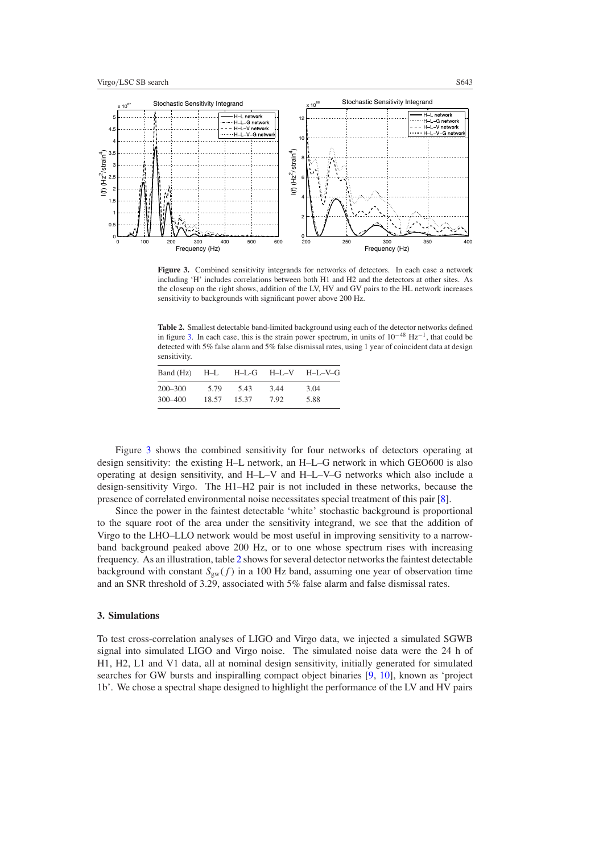<span id="page-4-0"></span>

Figure 3. Combined sensitivity integrands for networks of detectors. In each case a network including 'H' includes correlations between both H1 and H2 and the detectors at other sites. As the closeup on the right shows, addition of the LV, HV and GV pairs to the HL network increases sensitivity to backgrounds with significant power above 200 Hz.

**Table 2.** Smallest detectable band-limited background using each of the detector networks defined in figure 3. In each case, this is the strain power spectrum, in units of 10−<sup>48</sup> Hz<sup>−</sup>1, that could be detected with 5% false alarm and 5% false dismissal rates, using 1 year of coincident data at design sensitivity.

| Band (Hz) | $H-L$ | H–L-G | $H-I-V$ | H-L-V-G |
|-----------|-------|-------|---------|---------|
| 200–300   | 5.79  | 5.43  | 3.44    | 3.04    |
| 300-400   | 18.57 | 15.37 | 7.92    | 5.88    |

Figure 3 shows the combined sensitivity for four networks of detectors operating at design sensitivity: the existing H–L network, an H–L–G network in which GEO600 is also operating at design sensitivity, and H–L–V and H–L–V–G networks which also include a design-sensitivity Virgo. The H1–H2 pair is not included in these networks, because the presence of correlated environmental noise necessitates special treatment of this pair [\[8\]](#page-9-0).

Since the power in the faintest detectable 'white' stochastic background is proportional to the square root of the area under the sensitivity integrand, we see that the addition of Virgo to the LHO–LLO network would be most useful in improving sensitivity to a narrowband background peaked above 200 Hz, or to one whose spectrum rises with increasing frequency. As an illustration, table 2 shows for several detector networks the faintest detectable background with constant  $S_{gw}(f)$  in a 100 Hz band, assuming one year of observation time and an SNR threshold of 3.29, associated with 5% false alarm and false dismissal rates.

## **3. Simulations**

To test cross-correlation analyses of LIGO and Virgo data, we injected a simulated SGWB signal into simulated LIGO and Virgo noise. The simulated noise data were the 24 h of H1, H2, L1 and V1 data, all at nominal design sensitivity, initially generated for simulated searches for GW bursts and inspiralling compact object binaries [\[9,](#page-9-0) [10\]](#page-9-0), known as 'project 1b'. We chose a spectral shape designed to highlight the performance of the LV and HV pairs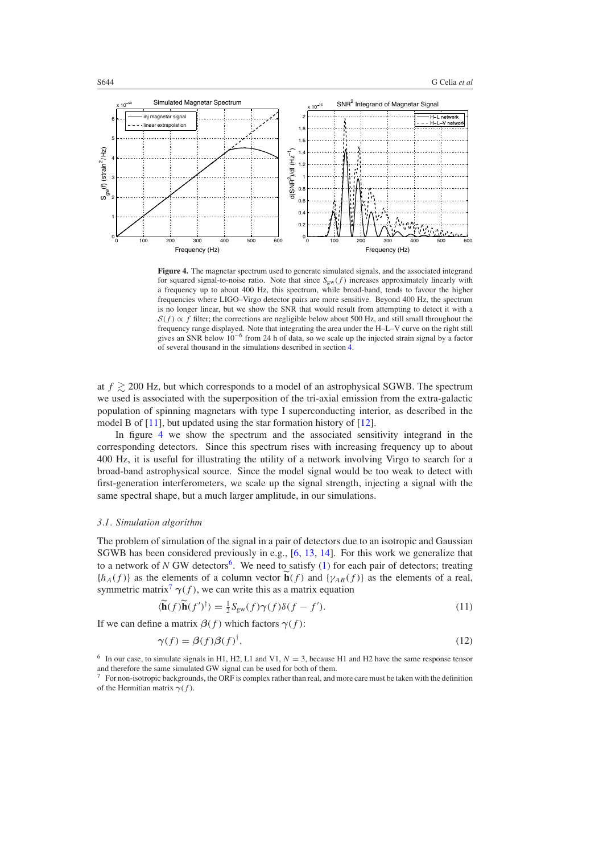<span id="page-5-0"></span>

**Figure 4.** The magnetar spectrum used to generate simulated signals, and the associated integrand for squared signal-to-noise ratio. Note that since  $S_{gw}(f)$  increases approximately linearly with a frequency up to about 400 Hz, this spectrum, while broad-band, tends to favour the higher frequencies where LIGO–Virgo detector pairs are more sensitive. Beyond 400 Hz, the spectrum is no longer linear, but we show the SNR that would result from attempting to detect it with a  $S(f) \propto f$  filter; the corrections are negligible below about 500 Hz, and still small throughout the frequency range displayed. Note that integrating the area under the H–L–V curve on the right still gives an SNR below 10−<sup>6</sup> from 24 h of data, so we scale up the injected strain signal by a factor of several thousand in the simulations described in section [4.](#page-7-0)

at  $f \ge 200$  Hz, but which corresponds to a model of an astrophysical SGWB. The spectrum we used is associated with the superposition of the tri-axial emission from the extra-galactic population of spinning magnetars with type I superconducting interior, as described in the model B of [\[11\]](#page-9-0), but updated using the star formation history of [\[12\]](#page-9-0).

In figure 4 we show the spectrum and the associated sensitivity integrand in the corresponding detectors. Since this spectrum rises with increasing frequency up to about 400 Hz, it is useful for illustrating the utility of a network involving Virgo to search for a broad-band astrophysical source. Since the model signal would be too weak to detect with first-generation interferometers, we scale up the signal strength, injecting a signal with the same spectral shape, but a much larger amplitude, in our simulations.

#### *3.1. Simulation algorithm*

The problem of simulation of the signal in a pair of detectors due to an isotropic and Gaussian SGWB has been considered previously in e.g., [\[6,](#page-9-0) [13](#page-9-0), [14\]](#page-9-0). For this work we generalize that to a network of  $N$  GW detectors<sup>6</sup>. We need to satisfy [\(1\)](#page-1-0) for each pair of detectors; treating  ${h_A(f)}$  as the elements of a column vector  $\mathbf{h}(f)$  and  ${\gamma_{AB}(f)}$  as the elements of a real, symmetric matrix<sup>7</sup>  $\gamma(f)$ , we can write this as a matrix equation

$$
\langle \widetilde{\mathbf{h}}(f)\widetilde{\mathbf{h}}(f')^{\dagger} \rangle = \frac{1}{2} S_{\text{gw}}(f)\gamma(f)\delta(f - f'). \tag{11}
$$

If we can define a matrix  $\beta(f)$  which factors  $\gamma(f)$ :

$$
\gamma(f) = \beta(f)\beta(f)^{\dagger},\tag{12}
$$

<sup>&</sup>lt;sup>6</sup> In our case, to simulate signals in H1, H2, L1 and V1,  $N = 3$ , because H1 and H2 have the same response tensor and therefore the same simulated GW signal can be used for both of them.

<sup>7</sup> For non-isotropic backgrounds, the ORF is complex rather than real, and more care must be taken with the definition of the Hermitian matrix *γ(f )*.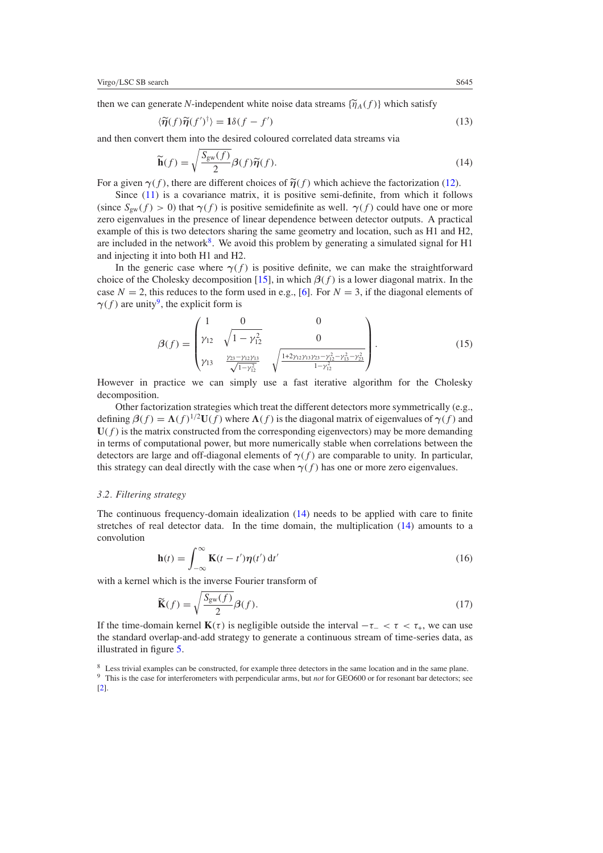then we can generate *N*-independent white noise data streams  $\{\widetilde{\eta}_A(f)\}$  which satisfy

$$
\langle \widetilde{\eta}(f)\widetilde{\eta}(f')^{\dagger} \rangle = \mathbf{1}\delta(f - f')
$$
 (13)

and then convert them into the desired coloured correlated data streams via

$$
\widetilde{\mathbf{h}}(f) = \sqrt{\frac{S_{\text{gw}}(f)}{2}} \beta(f)\widetilde{\eta}(f). \tag{14}
$$

For a given  $\gamma(f)$ , there are different choices of  $\tilde{\eta}(f)$  which achieve the factorization [\(12\)](#page-5-0).

Since [\(11\)](#page-5-0) is a covariance matrix, it is positive semi-definite, from which it follows (since  $S_{\text{sw}}(f) > 0$ ) that  $\gamma(f)$  is positive semidefinite as well.  $\gamma(f)$  could have one or more zero eigenvalues in the presence of linear dependence between detector outputs. A practical example of this is two detectors sharing the same geometry and location, such as H1 and H2, are included in the network<sup>8</sup>. We avoid this problem by generating a simulated signal for H1 and injecting it into both H1 and H2.

In the generic case where  $\gamma(f)$  is positive definite, we can make the straightforward choice of the Cholesky decomposition [\[15](#page-9-0)], in which  $\beta(f)$  is a lower diagonal matrix. In the case  $N = 2$ , this reduces to the form used in e.g., [\[6\]](#page-9-0). For  $N = 3$ , if the diagonal elements of  $\gamma(f)$  are unity<sup>9</sup>, the explicit form is

$$
\beta(f) = \begin{pmatrix} 1 & 0 & 0 \\ \gamma_{12} & \sqrt{1 - \gamma_{12}^2} & 0 \\ \gamma_{13} & \frac{\gamma_{23} - \gamma_{12}\gamma_{13}}{\sqrt{1 - \gamma_{12}^2}} & \sqrt{\frac{1 + 2\gamma_{12}\gamma_{13}\gamma_{23} - \gamma_{12}^2 - \gamma_{13}^2 - \gamma_{23}^2}{1 - \gamma_{12}^2}} \end{pmatrix} .
$$
 (15)

However in practice we can simply use a fast iterative algorithm for the Cholesky decomposition.

Other factorization strategies which treat the different detectors more symmetrically (e.g., defining  $\beta(f) = \Lambda(f)^{1/2}U(f)$  where  $\Lambda(f)$  is the diagonal matrix of eigenvalues of  $\gamma(f)$  and  $U(f)$  is the matrix constructed from the corresponding eigenvectors) may be more demanding in terms of computational power, but more numerically stable when correlations between the detectors are large and off-diagonal elements of  $\gamma(f)$  are comparable to unity. In particular, this strategy can deal directly with the case when  $\gamma(f)$  has one or more zero eigenvalues.

## *3.2. Filtering strategy*

The continuous frequency-domain idealization (14) needs to be applied with care to finite stretches of real detector data. In the time domain, the multiplication (14) amounts to a convolution

$$
\mathbf{h}(t) = \int_{-\infty}^{\infty} \mathbf{K}(t - t') \boldsymbol{\eta}(t') dt'
$$
 (16)

with a kernel which is the inverse Fourier transform of

$$
\widetilde{\mathbf{K}}(f) = \sqrt{\frac{S_{\text{gw}}(f)}{2}} \beta(f). \tag{17}
$$

If the time-domain kernel  $\mathbf{K}(\tau)$  is negligible outside the interval  $-\tau$ <sub>−</sub>  $\tau$   $\tau$ <sub>+</sub>, we can use the standard overlap-and-add strategy to generate a continuous stream of time-series data, as illustrated in figure [5.](#page-7-0)

<sup>8</sup> Less trivial examples can be constructed, for example three detectors in the same location and in the same plane. <sup>9</sup> This is the case for interferometers with perpendicular arms, but *not* for GEO600 or for resonant bar detectors; see [\[2\]](#page-9-0).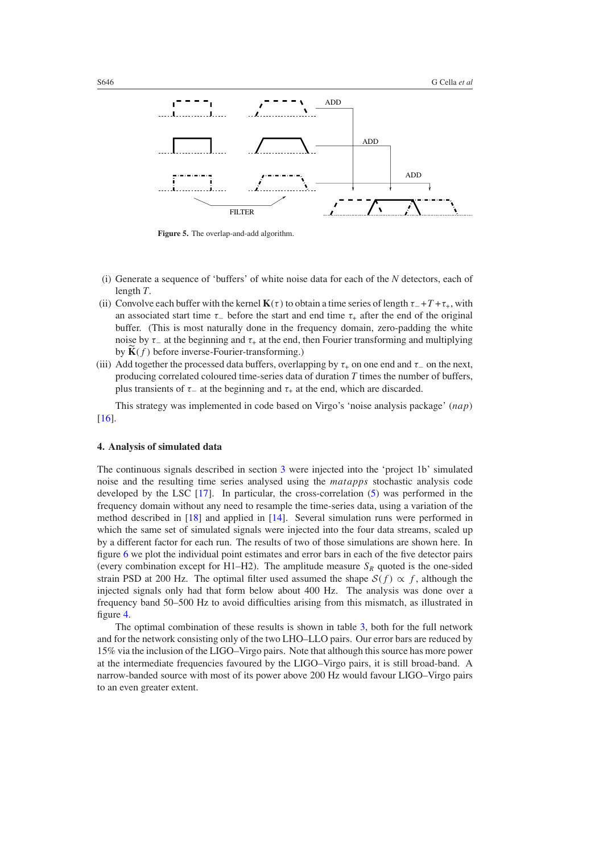<span id="page-7-0"></span>

**Figure 5.** The overlap-and-add algorithm.

- (i) Generate a sequence of 'buffers' of white noise data for each of the *N* detectors, each of length *T*.
- (ii) Convolve each buffer with the kernel  $\mathbf{K}(\tau)$  to obtain a time series of length  $\tau_+ + T_+ \tau_+$ , with an associated start time  $\tau_-\$  before the start and end time  $\tau_+\$  after the end of the original buffer. (This is most naturally done in the frequency domain, zero-padding the white noise by  $\tau_-\$  at the beginning and  $\tau_+\$  at the end, then Fourier transforming and multiplying by  $\mathbf{K}(f)$  before inverse-Fourier-transforming.)
- (iii) Add together the processed data buffers, overlapping by  $\tau_{+}$  on one end and  $\tau_{-}$  on the next, producing correlated coloured time-series data of duration *T* times the number of buffers, plus transients of  $\tau_-\$  at the beginning and  $\tau_+\$  at the end, which are discarded.

This strategy was implemented in code based on Virgo's 'noise analysis package' *(nap)* [\[16](#page-9-0)].

## **4. Analysis of simulated data**

The continuous signals described in section [3](#page-4-0) were injected into the 'project 1b' simulated noise and the resulting time series analysed using the *matapps* stochastic analysis code developed by the LSC [\[17\]](#page-9-0). In particular, the cross-correlation [\(5\)](#page-2-0) was performed in the frequency domain without any need to resample the time-series data, using a variation of the method described in [\[18\]](#page-9-0) and applied in [\[14](#page-9-0)]. Several simulation runs were performed in which the same set of simulated signals were injected into the four data streams, scaled up by a different factor for each run. The results of two of those simulations are shown here. In figure [6](#page-8-0) we plot the individual point estimates and error bars in each of the five detector pairs (every combination except for H1–H2). The amplitude measure  $S_R$  quoted is the one-sided strain PSD at 200 Hz. The optimal filter used assumed the shape  $S(f) \propto f$ , although the injected signals only had that form below about 400 Hz. The analysis was done over a frequency band 50–500 Hz to avoid difficulties arising from this mismatch, as illustrated in figure [4.](#page-5-0)

The optimal combination of these results is shown in table [3,](#page-8-0) both for the full network and for the network consisting only of the two LHO–LLO pairs. Our error bars are reduced by 15% via the inclusion of the LIGO–Virgo pairs. Note that although this source has more power at the intermediate frequencies favoured by the LIGO–Virgo pairs, it is still broad-band. A narrow-banded source with most of its power above 200 Hz would favour LIGO–Virgo pairs to an even greater extent.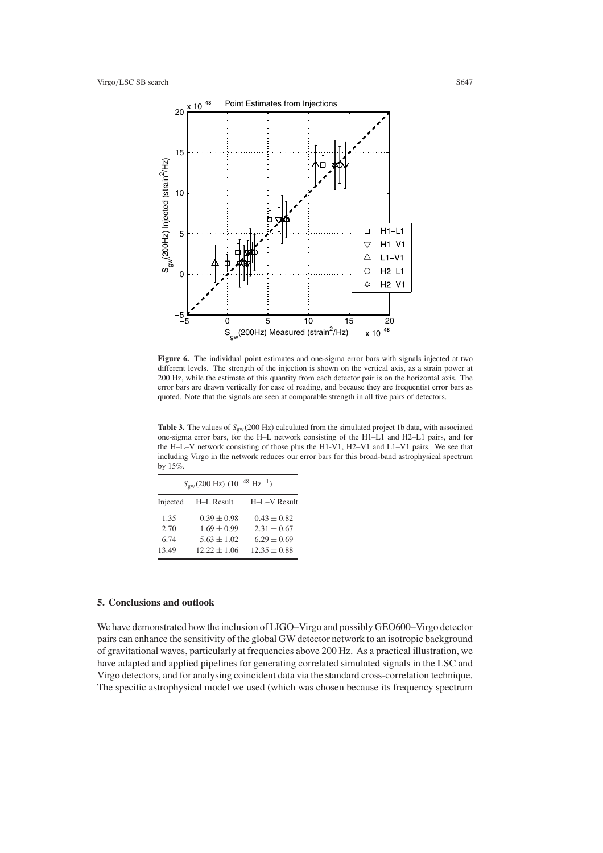<span id="page-8-0"></span>

**Figure 6.** The individual point estimates and one-sigma error bars with signals injected at two different levels. The strength of the injection is shown on the vertical axis, as a strain power at 200 Hz, while the estimate of this quantity from each detector pair is on the horizontal axis. The error bars are drawn vertically for ease of reading, and because they are frequentist error bars as quoted. Note that the signals are seen at comparable strength in all five pairs of detectors.

**Table 3.** The values of *S*gw*(*200 Hz*)* calculated from the simulated project 1b data, with associated one-sigma error bars, for the H–L network consisting of the H1–L1 and H2–L1 pairs, and for the H–L–V network consisting of those plus the H1-V1, H2–V1 and L1–V1 pairs. We see that including Virgo in the network reduces our error bars for this broad-band astrophysical spectrum by 15%.

| $S_{\rm gw}(200 \text{ Hz})$ $(10^{-48} \text{ Hz}^{-1})$ |                  |                  |  |  |  |
|-----------------------------------------------------------|------------------|------------------|--|--|--|
| Injected                                                  | H-L Result       | H-L-V Result     |  |  |  |
| 1.35                                                      | $0.39 \pm 0.98$  | $0.43 \pm 0.82$  |  |  |  |
| 2.70                                                      | $1.69 \pm 0.99$  | $2.31 + 0.67$    |  |  |  |
| 6.74                                                      | $5.63 + 1.02$    | $6.29 \pm 0.69$  |  |  |  |
| 13.49                                                     | $12.22 \pm 1.06$ | $12.35 \pm 0.88$ |  |  |  |

# **5. Conclusions and outlook**

We have demonstrated how the inclusion of LIGO–Virgo and possibly GEO600–Virgo detector pairs can enhance the sensitivity of the global GW detector network to an isotropic background of gravitational waves, particularly at frequencies above 200 Hz. As a practical illustration, we have adapted and applied pipelines for generating correlated simulated signals in the LSC and Virgo detectors, and for analysing coincident data via the standard cross-correlation technique. The specific astrophysical model we used (which was chosen because its frequency spectrum